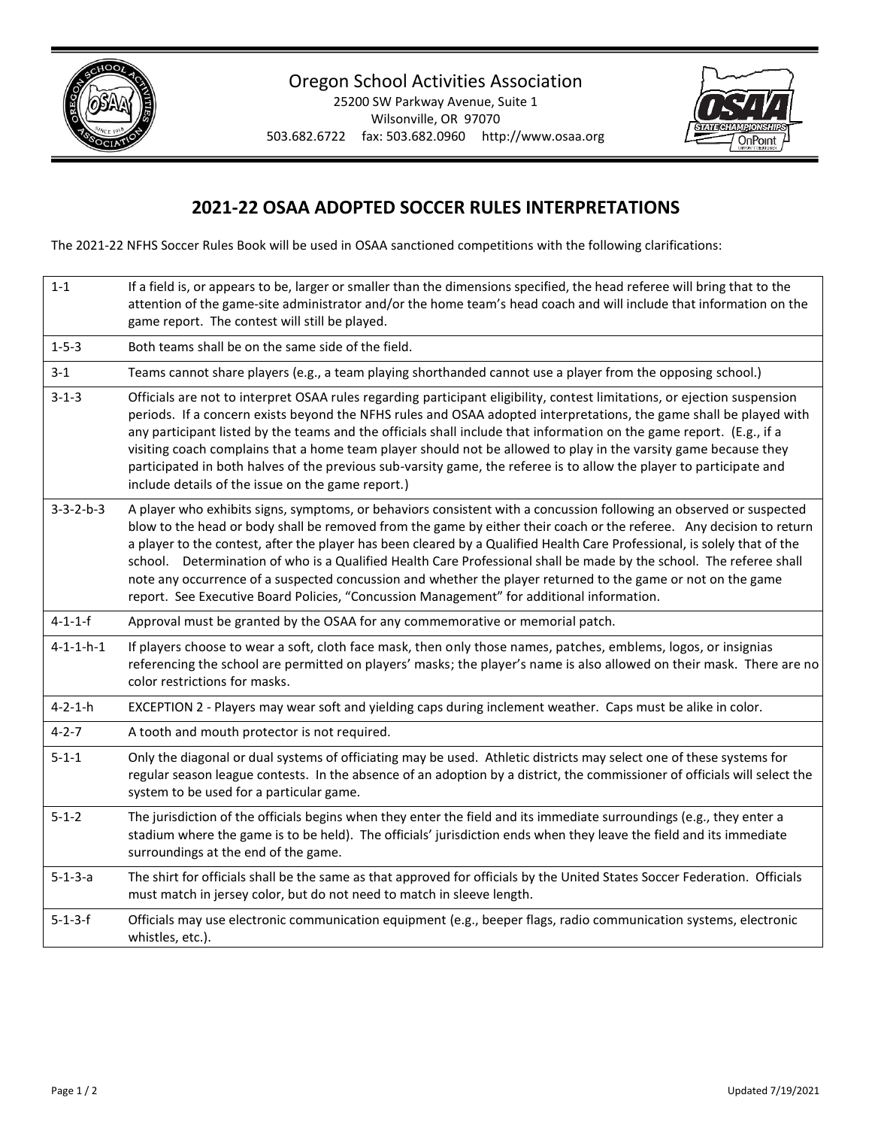

## Oregon School Activities Association

25200 SW Parkway Avenue, Suite 1 Wilsonville, OR 97070 503.682.6722 fax: 503.682.0960 http://www.osaa.org



## **2021-22 OSAA ADOPTED SOCCER RULES INTERPRETATIONS**

The 2021-22 NFHS Soccer Rules Book will be used in OSAA sanctioned competitions with the following clarifications:

| $1 - 1$             | If a field is, or appears to be, larger or smaller than the dimensions specified, the head referee will bring that to the<br>attention of the game-site administrator and/or the home team's head coach and will include that information on the<br>game report. The contest will still be played.                                                                                                                                                                                                                                                                                                                                                                                                           |
|---------------------|--------------------------------------------------------------------------------------------------------------------------------------------------------------------------------------------------------------------------------------------------------------------------------------------------------------------------------------------------------------------------------------------------------------------------------------------------------------------------------------------------------------------------------------------------------------------------------------------------------------------------------------------------------------------------------------------------------------|
| $1 - 5 - 3$         | Both teams shall be on the same side of the field.                                                                                                                                                                                                                                                                                                                                                                                                                                                                                                                                                                                                                                                           |
| $3-1$               | Teams cannot share players (e.g., a team playing shorthanded cannot use a player from the opposing school.)                                                                                                                                                                                                                                                                                                                                                                                                                                                                                                                                                                                                  |
| $3 - 1 - 3$         | Officials are not to interpret OSAA rules regarding participant eligibility, contest limitations, or ejection suspension<br>periods. If a concern exists beyond the NFHS rules and OSAA adopted interpretations, the game shall be played with<br>any participant listed by the teams and the officials shall include that information on the game report. (E.g., if a<br>visiting coach complains that a home team player should not be allowed to play in the varsity game because they<br>participated in both halves of the previous sub-varsity game, the referee is to allow the player to participate and<br>include details of the issue on the game report.)                                        |
| $3 - 3 - 2 - b - 3$ | A player who exhibits signs, symptoms, or behaviors consistent with a concussion following an observed or suspected<br>blow to the head or body shall be removed from the game by either their coach or the referee. Any decision to return<br>a player to the contest, after the player has been cleared by a Qualified Health Care Professional, is solely that of the<br>school. Determination of who is a Qualified Health Care Professional shall be made by the school. The referee shall<br>note any occurrence of a suspected concussion and whether the player returned to the game or not on the game<br>report. See Executive Board Policies, "Concussion Management" for additional information. |
| $4 - 1 - 1 - f$     | Approval must be granted by the OSAA for any commemorative or memorial patch.                                                                                                                                                                                                                                                                                                                                                                                                                                                                                                                                                                                                                                |
| $4 - 1 - 1 - h - 1$ | If players choose to wear a soft, cloth face mask, then only those names, patches, emblems, logos, or insignias<br>referencing the school are permitted on players' masks; the player's name is also allowed on their mask. There are no<br>color restrictions for masks.                                                                                                                                                                                                                                                                                                                                                                                                                                    |
| $4 - 2 - 1 - h$     | EXCEPTION 2 - Players may wear soft and yielding caps during inclement weather. Caps must be alike in color.                                                                                                                                                                                                                                                                                                                                                                                                                                                                                                                                                                                                 |
| $4 - 2 - 7$         | A tooth and mouth protector is not required.                                                                                                                                                                                                                                                                                                                                                                                                                                                                                                                                                                                                                                                                 |
| $5 - 1 - 1$         | Only the diagonal or dual systems of officiating may be used. Athletic districts may select one of these systems for<br>regular season league contests. In the absence of an adoption by a district, the commissioner of officials will select the<br>system to be used for a particular game.                                                                                                                                                                                                                                                                                                                                                                                                               |
| $5 - 1 - 2$         | The jurisdiction of the officials begins when they enter the field and its immediate surroundings (e.g., they enter a<br>stadium where the game is to be held). The officials' jurisdiction ends when they leave the field and its immediate<br>surroundings at the end of the game.                                                                                                                                                                                                                                                                                                                                                                                                                         |
| $5 - 1 - 3 - a$     | The shirt for officials shall be the same as that approved for officials by the United States Soccer Federation. Officials<br>must match in jersey color, but do not need to match in sleeve length.                                                                                                                                                                                                                                                                                                                                                                                                                                                                                                         |
| $5 - 1 - 3 - f$     | Officials may use electronic communication equipment (e.g., beeper flags, radio communication systems, electronic<br>whistles, etc.).                                                                                                                                                                                                                                                                                                                                                                                                                                                                                                                                                                        |